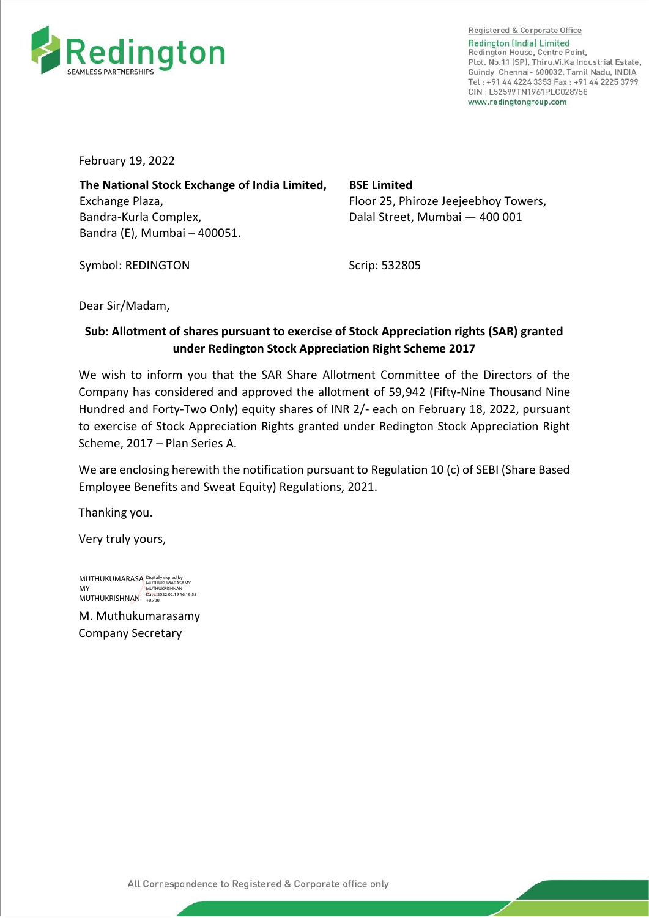

Registered & Corporate Office **Redington (India) Limited** Redington House, Centre Point, Plot. No.11 [SP], Thiru.Vi.Ka Industrial Estate. Guindy, Chennai- 600032. Tamil Nadu, INDIA Tel: +91 44 4224 3353 Fax: +91 44 2225 3799 CIN: L52599TN1961PLC028758 www.redinatonaroup.com

February 19, 2022

**The National Stock Exchange of India Limited,**  Exchange Plaza, Bandra-Kurla Complex, Bandra (E), Mumbai – 400051.

**BSE Limited**  Floor 25, Phiroze Jeejeebhoy Towers, Dalal Street, Mumbai — 400 001

Symbol: REDINGTON

Scrip: 532805

Dear Sir/Madam,

## **Sub: Allotment of shares pursuant to exercise of Stock Appreciation rights (SAR) granted under Redington Stock Appreciation Right Scheme 2017**

We wish to inform you that the SAR Share Allotment Committee of the Directors of the Company has considered and approved the allotment of 59,942 (Fifty-Nine Thousand Nine Hundred and Forty-Two Only) equity shares of INR 2/- each on February 18, 2022, pursuant to exercise of Stock Appreciation Rights granted under Redington Stock Appreciation Right Scheme, 2017 – Plan Series A.

We are enclosing herewith the notification pursuant to Regulation 10 (c) of SEBI (Share Based Employee Benefits and Sweat Equity) Regulations, 2021.

Thanking you.

Very truly yours,

MUTHUKUMARASA Digitally signed by MY MUTHUKRISHNAN MUTHUKRISHNAN Date: 2022.02.19 16:19:55 +05'30'

M. Muthukumarasamy Company Secretary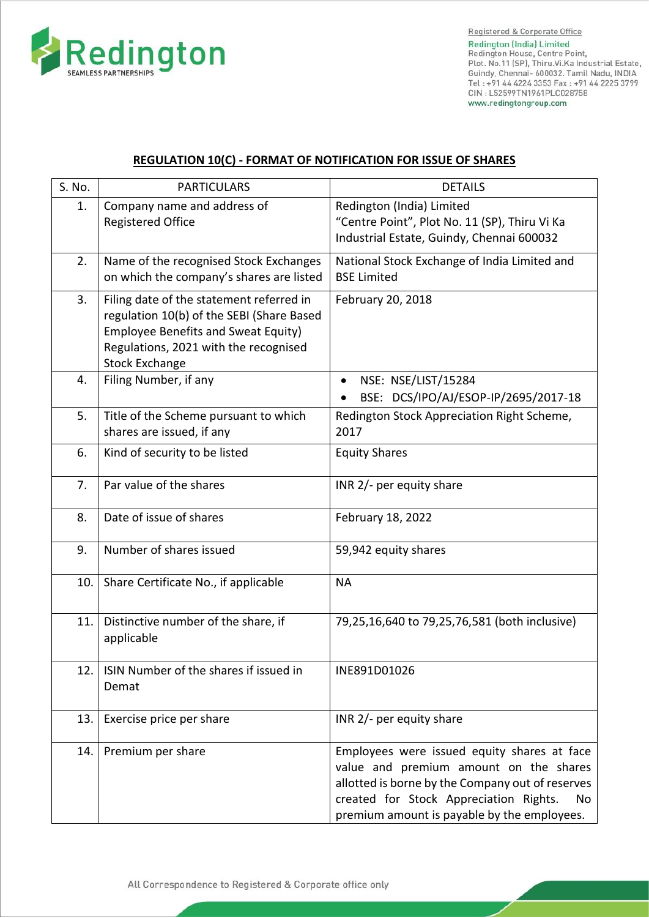

## **REGULATION 10(C) - FORMAT OF NOTIFICATION FOR ISSUE OF SHARES**

| S. No. | <b>PARTICULARS</b>                                                                                                                                                                                    | <b>DETAILS</b>                                                                                                                                                                                                                           |
|--------|-------------------------------------------------------------------------------------------------------------------------------------------------------------------------------------------------------|------------------------------------------------------------------------------------------------------------------------------------------------------------------------------------------------------------------------------------------|
| 1.     | Company name and address of<br><b>Registered Office</b>                                                                                                                                               | Redington (India) Limited<br>"Centre Point", Plot No. 11 (SP), Thiru Vi Ka<br>Industrial Estate, Guindy, Chennai 600032                                                                                                                  |
| 2.     | Name of the recognised Stock Exchanges<br>on which the company's shares are listed                                                                                                                    | National Stock Exchange of India Limited and<br><b>BSE Limited</b>                                                                                                                                                                       |
| 3.     | Filing date of the statement referred in<br>regulation 10(b) of the SEBI (Share Based<br><b>Employee Benefits and Sweat Equity)</b><br>Regulations, 2021 with the recognised<br><b>Stock Exchange</b> | February 20, 2018                                                                                                                                                                                                                        |
| 4.     | Filing Number, if any                                                                                                                                                                                 | NSE: NSE/LIST/15284<br>BSE: DCS/IPO/AJ/ESOP-IP/2695/2017-18                                                                                                                                                                              |
| 5.     | Title of the Scheme pursuant to which<br>shares are issued, if any                                                                                                                                    | Redington Stock Appreciation Right Scheme,<br>2017                                                                                                                                                                                       |
| 6.     | Kind of security to be listed                                                                                                                                                                         | <b>Equity Shares</b>                                                                                                                                                                                                                     |
| 7.     | Par value of the shares                                                                                                                                                                               | INR 2/- per equity share                                                                                                                                                                                                                 |
| 8.     | Date of issue of shares                                                                                                                                                                               | February 18, 2022                                                                                                                                                                                                                        |
| 9.     | Number of shares issued                                                                                                                                                                               | 59,942 equity shares                                                                                                                                                                                                                     |
| 10.    | Share Certificate No., if applicable                                                                                                                                                                  | <b>NA</b>                                                                                                                                                                                                                                |
| 11.    | Distinctive number of the share, if<br>applicable                                                                                                                                                     | 79,25,16,640 to 79,25,76,581 (both inclusive)                                                                                                                                                                                            |
|        | 12.   ISIN Number of the shares if issued in<br>Demat                                                                                                                                                 | INE891D01026                                                                                                                                                                                                                             |
| 13.    | Exercise price per share                                                                                                                                                                              | INR 2/- per equity share                                                                                                                                                                                                                 |
| 14.    | Premium per share                                                                                                                                                                                     | Employees were issued equity shares at face<br>value and premium amount on the shares<br>allotted is borne by the Company out of reserves<br>created for Stock Appreciation Rights.<br>No<br>premium amount is payable by the employees. |